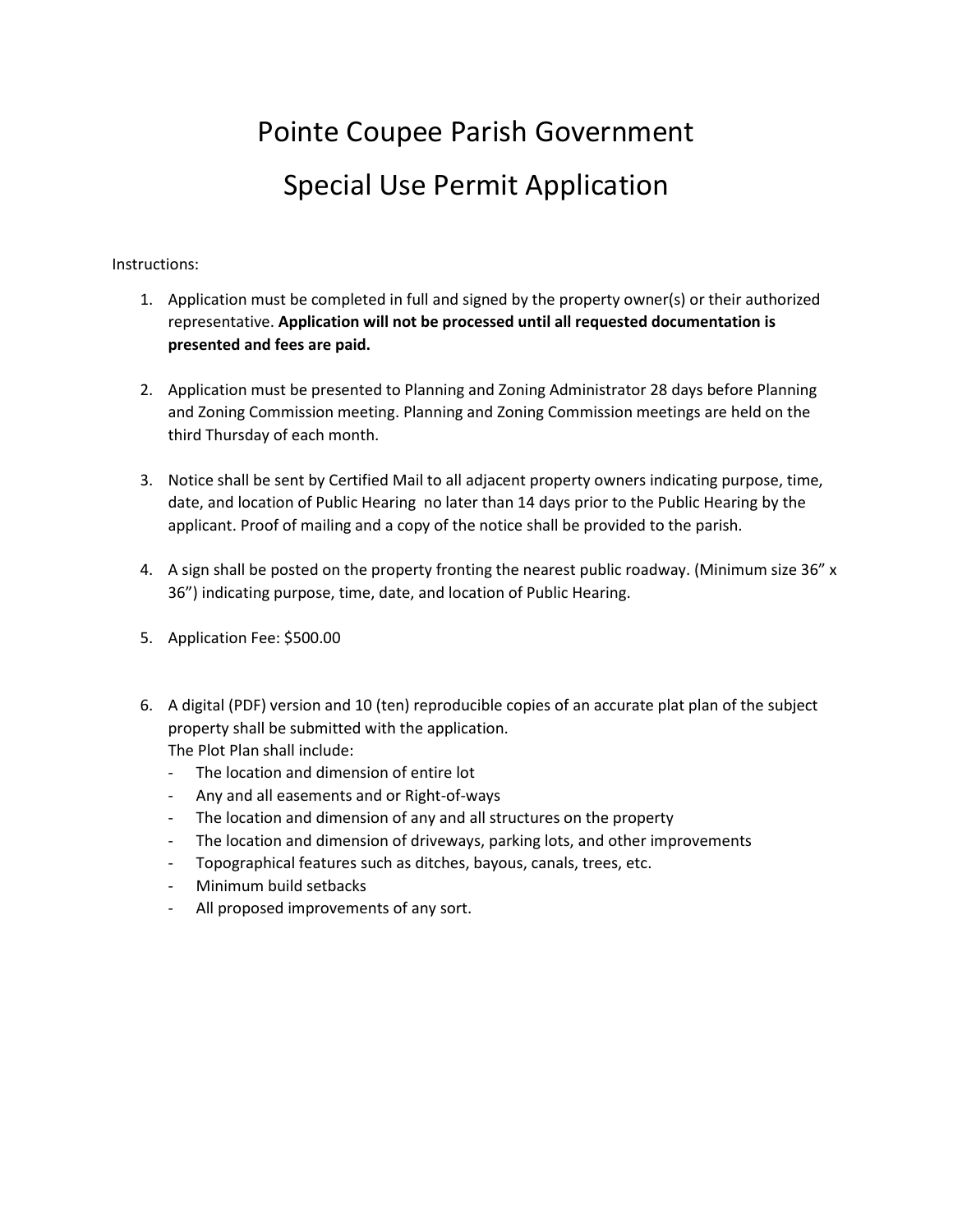## Pointe Coupee Parish Government Special Use Permit Application

## Instructions:

- 1. Application must be completed in full and signed by the property owner(s) or their authorized representative. **Application will not be processed until all requested documentation is presented and fees are paid.**
- 2. Application must be presented to Planning and Zoning Administrator 28 days before Planning and Zoning Commission meeting. Planning and Zoning Commission meetings are held on the third Thursday of each month.
- 3. Notice shall be sent by Certified Mail to all adjacent property owners indicating purpose, time, date, and location of Public Hearing no later than 14 days prior to the Public Hearing by the applicant. Proof of mailing and a copy of the notice shall be provided to the parish.
- 4. A sign shall be posted on the property fronting the nearest public roadway. (Minimum size 36" x 36") indicating purpose, time, date, and location of Public Hearing.
- 5. Application Fee: \$500.00
- 6. A digital (PDF) version and 10 (ten) reproducible copies of an accurate plat plan of the subject property shall be submitted with the application.

The Plot Plan shall include:

- The location and dimension of entire lot
- Any and all easements and or Right-of-ways
- The location and dimension of any and all structures on the property
- The location and dimension of driveways, parking lots, and other improvements
- Topographical features such as ditches, bayous, canals, trees, etc.
- Minimum build setbacks
- All proposed improvements of any sort.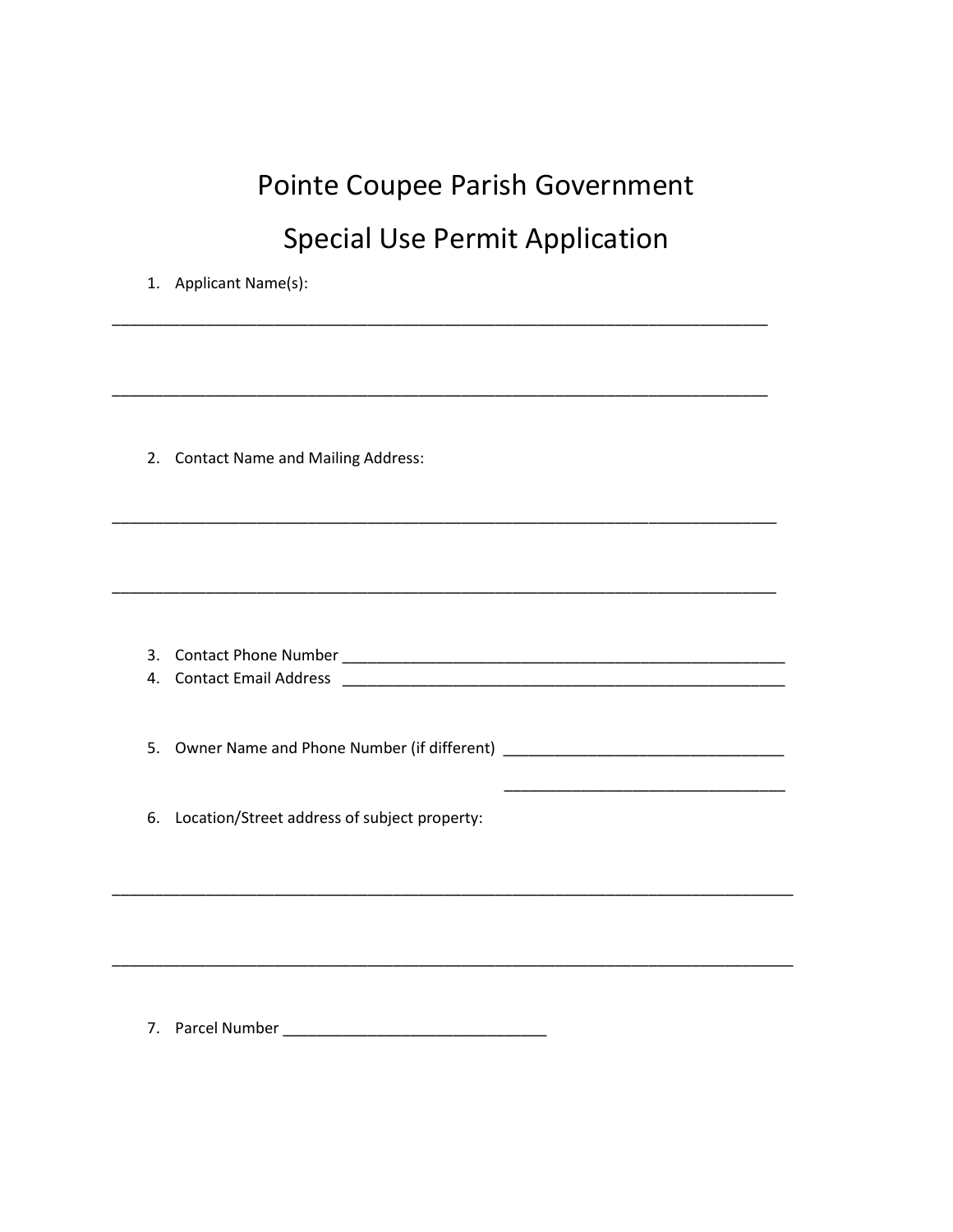## Pointe Coupee Parish Government **Special Use Permit Application**

| Applicant Name(s):<br>1. |
|--------------------------|
|--------------------------|

2. Contact Name and Mailing Address:

| 3. Contact Phone Number                       |  |  |
|-----------------------------------------------|--|--|
| 4. Contact Email Address                      |  |  |
|                                               |  |  |
|                                               |  |  |
| 5. Owner Name and Phone Number (if different) |  |  |

6. Location/Street address of subject property: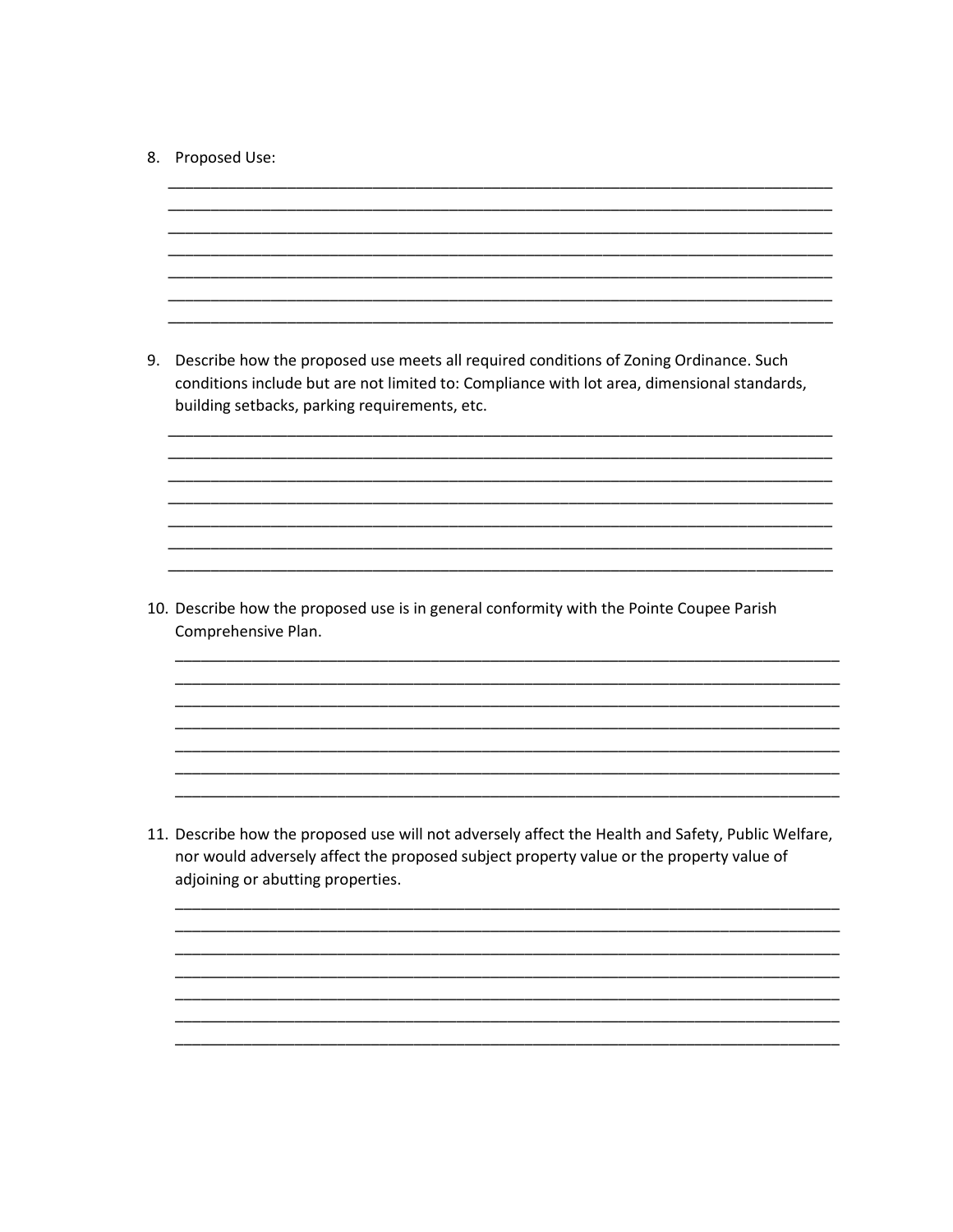## 8. Proposed Use:

9. Describe how the proposed use meets all required conditions of Zoning Ordinance. Such conditions include but are not limited to: Compliance with lot area, dimensional standards, building setbacks, parking requirements, etc. 10. Describe how the proposed use is in general conformity with the Pointe Coupee Parish Comprehensive Plan. 11. Describe how the proposed use will not adversely affect the Health and Safety, Public Welfare, nor would adversely affect the proposed subject property value or the property value of adjoining or abutting properties.